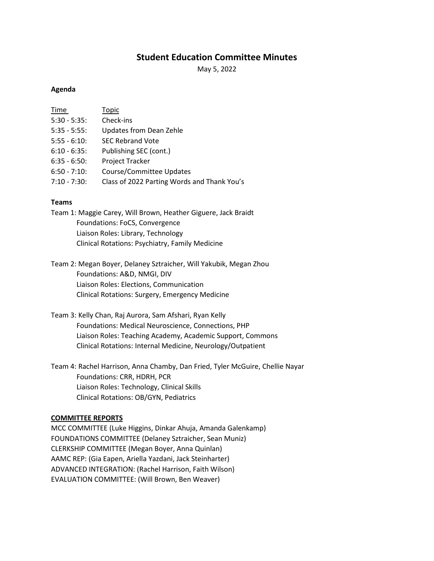# **Student Education Committee Minutes**

May 5, 2022

### **Agenda**

| Time            | Topic                                       |
|-----------------|---------------------------------------------|
| $5:30 - 5:35$ : | Check-ins                                   |
| $5:35 - 5:55$ : | Updates from Dean Zehle                     |
| $5:55 - 6:10$   | <b>SEC Rebrand Vote</b>                     |
| $6:10 - 6:35$ : | Publishing SEC (cont.)                      |
| $6:35 - 6:50$ : | <b>Project Tracker</b>                      |
| $6:50 - 7:10$ : | Course/Committee Updates                    |
| $7:10 - 7:30$ : | Class of 2022 Parting Words and Thank You's |

### **Teams**

Team 1: Maggie Carey, Will Brown, Heather Giguere, Jack Braidt Foundations: FoCS, Convergence Liaison Roles: Library, Technology Clinical Rotations: Psychiatry, Family Medicine

Team 2: Megan Boyer, Delaney Sztraicher, Will Yakubik, Megan Zhou Foundations: A&D, NMGI, DIV Liaison Roles: Elections, Communication Clinical Rotations: Surgery, Emergency Medicine

Team 3: Kelly Chan, Raj Aurora, Sam Afshari, Ryan Kelly Foundations: Medical Neuroscience, Connections, PHP Liaison Roles: Teaching Academy, Academic Support, Commons Clinical Rotations: Internal Medicine, Neurology/Outpatient

Team 4: Rachel Harrison, Anna Chamby, Dan Fried, Tyler McGuire, Chellie Nayar Foundations: CRR, HDRH, PCR Liaison Roles: Technology, Clinical Skills Clinical Rotations: OB/GYN, Pediatrics

#### **COMMITTEE REPORTS**

MCC COMMITTEE (Luke Higgins, Dinkar Ahuja, Amanda Galenkamp) FOUNDATIONS COMMITTEE (Delaney Sztraicher, Sean Muniz) CLERKSHIP COMMITTEE (Megan Boyer, Anna Quinlan) AAMC REP: (Gia Eapen, Ariella Yazdani, Jack Steinharter) ADVANCED INTEGRATION: (Rachel Harrison, Faith Wilson) EVALUATION COMMITTEE: (Will Brown, Ben Weaver)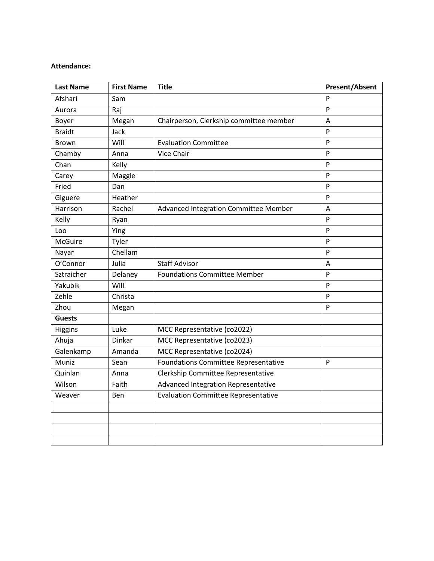### **Attendance:**

| <b>Last Name</b> | <b>First Name</b> | <b>Title</b>                                | <b>Present/Absent</b> |
|------------------|-------------------|---------------------------------------------|-----------------------|
| Afshari          | Sam               |                                             | P                     |
| Aurora           | Raj               |                                             | $\mathsf{P}$          |
| Boyer            | Megan             | Chairperson, Clerkship committee member     | A                     |
| <b>Braidt</b>    | Jack              |                                             | P                     |
| <b>Brown</b>     | Will              | <b>Evaluation Committee</b>                 | P                     |
| Chamby           | Anna              | Vice Chair                                  | P                     |
| Chan             | Kelly             |                                             | P                     |
| Carey            | Maggie            |                                             | P                     |
| Fried            | Dan               |                                             | P                     |
| Giguere          | Heather           |                                             | P                     |
| Harrison         | Rachel            | Advanced Integration Committee Member       | Α                     |
| Kelly            | Ryan              |                                             | P                     |
| Loo              | Ying              |                                             | P                     |
| <b>McGuire</b>   | Tyler             |                                             | P                     |
| Nayar            | Chellam           |                                             | P                     |
| O'Connor         | Julia             | <b>Staff Advisor</b>                        | Α                     |
| Sztraicher       | Delaney           | <b>Foundations Committee Member</b>         | P                     |
| Yakubik          | Will              |                                             | P                     |
| Zehle            | Christa           |                                             | $\mathsf{P}$          |
| Zhou             | Megan             |                                             | P                     |
| <b>Guests</b>    |                   |                                             |                       |
| Higgins          | Luke              | MCC Representative (co2022)                 |                       |
| Ahuja            | Dinkar            | MCC Representative (co2023)                 |                       |
| Galenkamp        | Amanda            | MCC Representative (co2024)                 |                       |
| Muniz            | Sean              | <b>Foundations Committee Representative</b> | P                     |
| Quinlan          | Anna              | Clerkship Committee Representative          |                       |
| Wilson           | Faith             | Advanced Integration Representative         |                       |
| Weaver           | Ben               | <b>Evaluation Committee Representative</b>  |                       |
|                  |                   |                                             |                       |
|                  |                   |                                             |                       |
|                  |                   |                                             |                       |
|                  |                   |                                             |                       |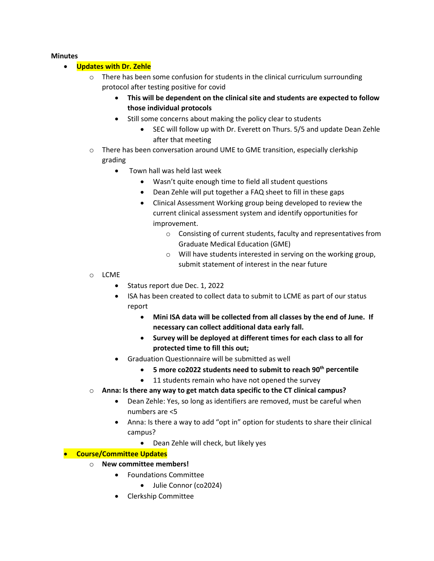### **Minutes**

# • **Updates with Dr. Zehle**

- $\circ$  There has been some confusion for students in the clinical curriculum surrounding protocol after testing positive for covid
	- **This will be dependent on the clinical site and students are expected to follow those individual protocols**
	- Still some concerns about making the policy clear to students
		- SEC will follow up with Dr. Everett on Thurs. 5/5 and update Dean Zehle after that meeting
- $\circ$  There has been conversation around UME to GME transition, especially clerkship grading
	- Town hall was held last week
		- Wasn't quite enough time to field all student questions
		- Dean Zehle will put together a FAQ sheet to fill in these gaps
		- Clinical Assessment Working group being developed to review the current clinical assessment system and identify opportunities for improvement.
			- o Consisting of current students, faculty and representatives from Graduate Medical Education (GME)
			- o Will have students interested in serving on the working group, submit statement of interest in the near future
- o LCME
	- Status report due Dec. 1, 2022
	- ISA has been created to collect data to submit to LCME as part of our status report
		- **Mini ISA data will be collected from all classes by the end of June. If necessary can collect additional data early fall.**
		- **Survey will be deployed at different times for each class to all for protected time to fill this out;**
	- Graduation Questionnaire will be submitted as well
		- **5 more co2022 students need to submit to reach 90th percentile**
		- 11 students remain who have not opened the survey
- o **Anna: Is there any way to get match data specific to the CT clinical campus?**
	- Dean Zehle: Yes, so long as identifiers are removed, must be careful when numbers are <5
	- Anna: Is there a way to add "opt in" option for students to share their clinical campus?
		- Dean Zehle will check, but likely yes

# • **Course/Committee Updates**

- o **New committee members!**
	- Foundations Committee
		- Julie Connor (co2024)
	- Clerkship Committee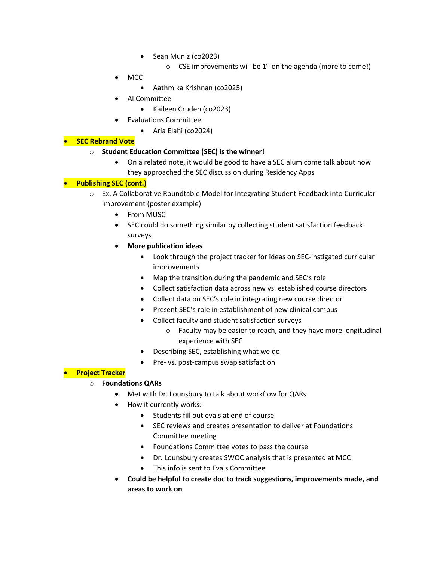- Sean Muniz (co2023)
	- $\circ$  CSE improvements will be 1<sup>st</sup> on the agenda (more to come!)
- MCC
	- Aathmika Krishnan (co2025)
- AI Committee
	- Kaileen Cruden (co2023)
- Evaluations Committee
	- Aria Elahi (co2024)

# • **SEC Rebrand Vote**

### o **Student Education Committee (SEC) is the winner!**

• On a related note, it would be good to have a SEC alum come talk about how they approached the SEC discussion during Residency Apps

# • **Publishing SEC (cont.)**

- o Ex. A Collaborative Roundtable Model for Integrating Student Feedback into Curricular Improvement (poster example)
	- From MUSC
	- SEC could do something similar by collecting student satisfaction feedback surveys
	- **More publication ideas**
		- Look through the project tracker for ideas on SEC-instigated curricular improvements
		- Map the transition during the pandemic and SEC's role
		- Collect satisfaction data across new vs. established course directors
		- Collect data on SEC's role in integrating new course director
		- Present SEC's role in establishment of new clinical campus
		- Collect faculty and student satisfaction surveys
			- o Faculty may be easier to reach, and they have more longitudinal experience with SEC
		- Describing SEC, establishing what we do
		- Pre- vs. post-campus swap satisfaction

### • **Project Tracker**

# o **Foundations QARs**

- Met with Dr. Lounsbury to talk about workflow for QARs
- How it currently works:
	- Students fill out evals at end of course
	- SEC reviews and creates presentation to deliver at Foundations Committee meeting
	- Foundations Committee votes to pass the course
	- Dr. Lounsbury creates SWOC analysis that is presented at MCC
	- This info is sent to Evals Committee
- **Could be helpful to create doc to track suggestions, improvements made, and areas to work on**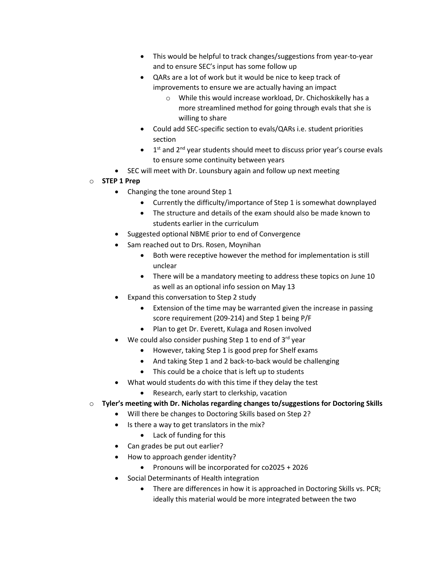- This would be helpful to track changes/suggestions from year-to-year and to ensure SEC's input has some follow up
- QARs are a lot of work but it would be nice to keep track of improvements to ensure we are actually having an impact
	- o While this would increase workload, Dr. Chichoskikelly has a more streamlined method for going through evals that she is willing to share
- Could add SEC-specific section to evals/QARs i.e. student priorities section
- $\bullet$  1<sup>st</sup> and 2<sup>nd</sup> year students should meet to discuss prior year's course evals to ensure some continuity between years
- SEC will meet with Dr. Lounsbury again and follow up next meeting
- o **STEP 1 Prep**
	- Changing the tone around Step 1
		- Currently the difficulty/importance of Step 1 is somewhat downplayed
		- The structure and details of the exam should also be made known to students earlier in the curriculum
	- Suggested optional NBME prior to end of Convergence
	- Sam reached out to Drs. Rosen, Moynihan
		- Both were receptive however the method for implementation is still unclear
		- There will be a mandatory meeting to address these topics on June 10 as well as an optional info session on May 13
	- Expand this conversation to Step 2 study
		- Extension of the time may be warranted given the increase in passing score requirement (209-214) and Step 1 being P/F
		- Plan to get Dr. Everett, Kulaga and Rosen involved
	- We could also consider pushing Step 1 to end of  $3^{rd}$  year
		- However, taking Step 1 is good prep for Shelf exams
		- And taking Step 1 and 2 back-to-back would be challenging
		- This could be a choice that is left up to students
	- What would students do with this time if they delay the test
		- Research, early start to clerkship, vacation
- o **Tyler's meeting with Dr. Nicholas regarding changes to/suggestions for Doctoring Skills**
	- Will there be changes to Doctoring Skills based on Step 2?
	- Is there a way to get translators in the mix?
		- Lack of funding for this
	- Can grades be put out earlier?
	- How to approach gender identity?
		- Pronouns will be incorporated for co2025 + 2026
	- Social Determinants of Health integration
		- There are differences in how it is approached in Doctoring Skills vs. PCR; ideally this material would be more integrated between the two